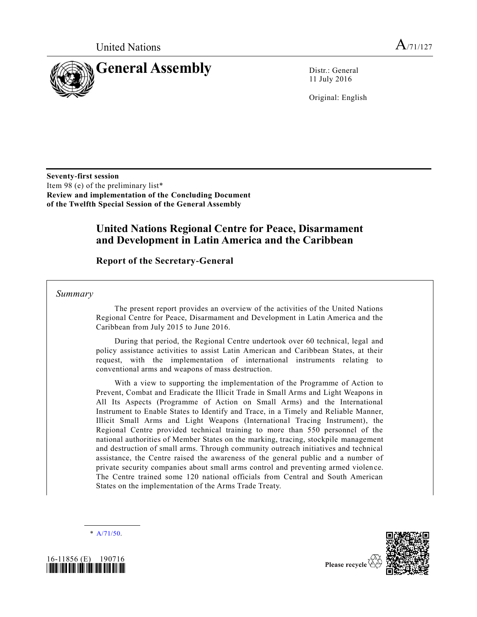

11 July 2016

Original: English

**Seventy-first session** Item 98 (e) of the preliminary list\* **Review and implementation of the Concluding Document of the Twelfth Special Session of the General Assembly**

## **United Nations Regional Centre for Peace, Disarmament and Development in Latin America and the Caribbean**

### **Report of the Secretary-General**

*Summary*

The present report provides an overview of the activities of the United Nations Regional Centre for Peace, Disarmament and Development in Latin America and the Caribbean from July 2015 to June 2016.

During that period, the Regional Centre undertook over 60 technical, legal and policy assistance activities to assist Latin American and Caribbean States, at their request, with the implementation of international instruments relating to conventional arms and weapons of mass destruction.

With a view to supporting the implementation of the Programme of Action to Prevent, Combat and Eradicate the Illicit Trade in Small Arms and Light Weapons in All Its Aspects (Programme of Action on Small Arms) and the International Instrument to Enable States to Identify and Trace, in a Timely and Reliable Manner, Illicit Small Arms and Light Weapons (International Tracing Instrument), the Regional Centre provided technical training to more than 550 personnel of the national authorities of Member States on the marking, tracing, stockpile management and destruction of small arms. Through community outreach initiatives and technical assistance, the Centre raised the awareness of the general public and a number of private security companies about small arms control and preventing armed violen ce. The Centre trained some 120 national officials from Central and South American States on the implementation of the Arms Trade Treaty.

 $* A/71/50.$  $* A/71/50.$ 



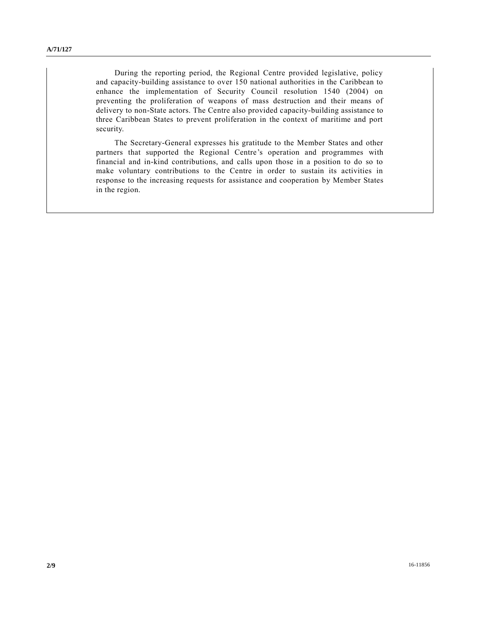During the reporting period, the Regional Centre provided legislative, policy and capacity-building assistance to over 150 national authorities in the Caribbean to enhance the implementation of Security Council resolution 1540 (2004) on preventing the proliferation of weapons of mass destruction and their means of delivery to non-State actors. The Centre also provided capacity-building assistance to three Caribbean States to prevent proliferation in the context of maritime and port security.

The Secretary-General expresses his gratitude to the Member States and other partners that supported the Regional Centre's operation and programmes with financial and in-kind contributions, and calls upon those in a position to do so to make voluntary contributions to the Centre in order to sustain its activities in response to the increasing requests for assistance and cooperation by Member States in the region.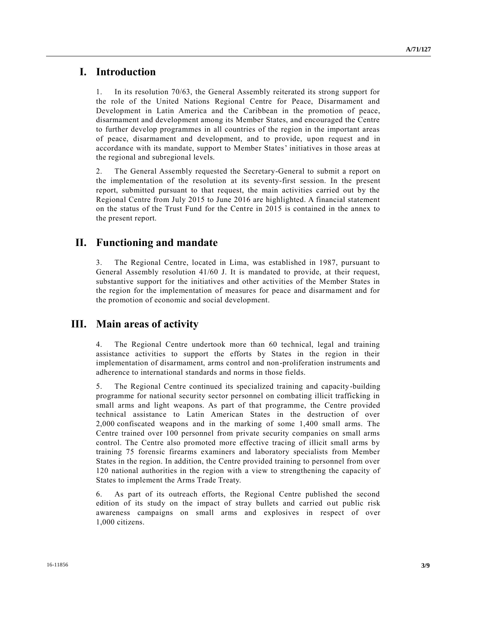### **I. Introduction**

1. In its resolution 70/63, the General Assembly reiterated its strong support for the role of the United Nations Regional Centre for Peace, Disarmament and Development in Latin America and the Caribbean in the promotion of peace, disarmament and development among its Member States, and encouraged the Centre to further develop programmes in all countries of the region in the important areas of peace, disarmament and development, and to provide, upon request and in accordance with its mandate, support to Member States' initiatives in those areas at the regional and subregional levels.

2. The General Assembly requested the Secretary-General to submit a report on the implementation of the resolution at its seventy-first session. In the present report, submitted pursuant to that request, the main activities carried out by the Regional Centre from July 2015 to June 2016 are highlighted. A financial statement on the status of the Trust Fund for the Centre in 2015 is contained in the annex to the present report.

## **II. Functioning and mandate**

3. The Regional Centre, located in Lima, was established in 1987, pursuant to General Assembly resolution 41/60 J. It is mandated to provide, at their request, substantive support for the initiatives and other activities of the Member States in the region for the implementation of measures for peace and disarmament and for the promotion of economic and social development.

# **III. Main areas of activity**

4. The Regional Centre undertook more than 60 technical, legal and training assistance activities to support the efforts by States in the region in their implementation of disarmament, arms control and non-proliferation instruments and adherence to international standards and norms in those fields.

5. The Regional Centre continued its specialized training and capacity-building programme for national security sector personnel on combating illicit trafficking in small arms and light weapons. As part of that programme, the Centre provided technical assistance to Latin American States in the destruction of over 2,000 confiscated weapons and in the marking of some 1,400 small arms. The Centre trained over 100 personnel from private security companies on small arms control. The Centre also promoted more effective tracing of illicit small arms by training 75 forensic firearms examiners and laboratory specialists from Member States in the region. In addition, the Centre provided training to personnel from over 120 national authorities in the region with a view to strengthening the capacity of States to implement the Arms Trade Treaty.

6. As part of its outreach efforts, the Regional Centre published the second edition of its study on the impact of stray bullets and carried out public risk awareness campaigns on small arms and explosives in respect of over 1,000 citizens.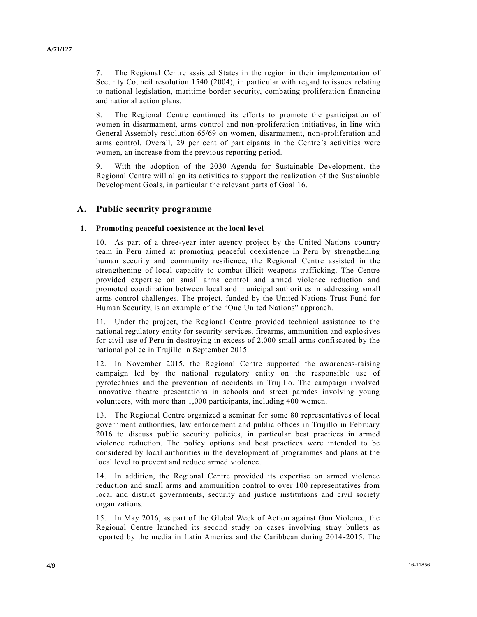7. The Regional Centre assisted States in the region in their implementation of Security Council resolution 1540 (2004), in particular with regard to issues relating to national legislation, maritime border security, combating proliferation financing and national action plans.

8. The Regional Centre continued its efforts to promote the participation of women in disarmament, arms control and non-proliferation initiatives, in line with General Assembly resolution 65/69 on women, disarmament, non-proliferation and arms control. Overall, 29 per cent of participants in the Centre's activities were women, an increase from the previous reporting period.

9. With the adoption of the 2030 Agenda for Sustainable Development, the Regional Centre will align its activities to support the realization of the Sustainable Development Goals, in particular the relevant parts of Goal 16.

#### **A. Public security programme**

#### **1. Promoting peaceful coexistence at the local level**

10. As part of a three-year inter agency project by the United Nations country team in Peru aimed at promoting peaceful coexistence in Peru by strengthening human security and community resilience, the Regional Centre assisted in the strengthening of local capacity to combat illicit weapons trafficking. The Centre provided expertise on small arms control and armed violence reduction and promoted coordination between local and municipal authorities in addressing small arms control challenges. The project, funded by the United Nations Trust Fund for Human Security, is an example of the "One United Nations" approach.

11. Under the project, the Regional Centre provided technical assistance to the national regulatory entity for security services, firearms, ammunition and explosives for civil use of Peru in destroying in excess of 2,000 small arms confiscated by the national police in Trujillo in September 2015.

12. In November 2015, the Regional Centre supported the awareness-raising campaign led by the national regulatory entity on the responsible use of pyrotechnics and the prevention of accidents in Trujillo. The campaign involved innovative theatre presentations in schools and street parades involving young volunteers, with more than 1,000 participants, including 400 women.

13. The Regional Centre organized a seminar for some 80 representatives of local government authorities, law enforcement and public offices in Trujillo in February 2016 to discuss public security policies, in particular best practices in armed violence reduction. The policy options and best practices were intended to be considered by local authorities in the development of programmes and plans at the local level to prevent and reduce armed violence.

14. In addition, the Regional Centre provided its expertise on armed violence reduction and small arms and ammunition control to over 100 representatives from local and district governments, security and justice institutions and civil society organizations.

15. In May 2016, as part of the Global Week of Action against Gun Violence, the Regional Centre launched its second study on cases involving stray bullets as reported by the media in Latin America and the Caribbean during 2014-2015. The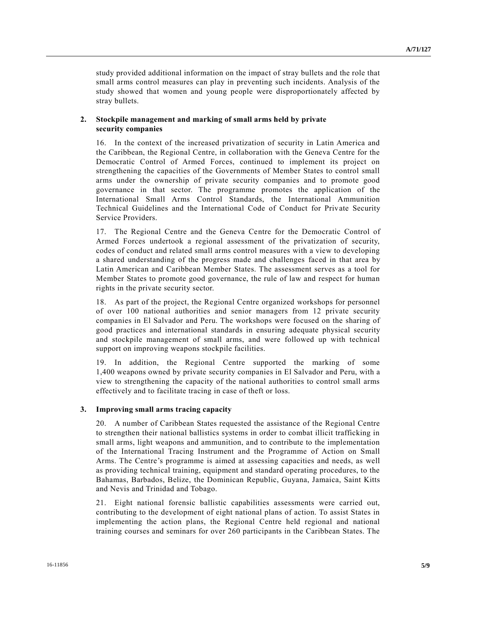study provided additional information on the impact of stray bullets and the role that small arms control measures can play in preventing such incidents. Analysis of the study showed that women and young people were disproportionately affected by stray bullets.

#### **2. Stockpile management and marking of small arms held by private security companies**

16. In the context of the increased privatization of security in Latin America and the Caribbean, the Regional Centre, in collaboration with the Geneva Centre for the Democratic Control of Armed Forces, continued to implement its project on strengthening the capacities of the Governments of Member States to control small arms under the ownership of private security companies and to promote good governance in that sector. The programme promotes the application of the International Small Arms Control Standards, the International Ammunition Technical Guidelines and the International Code of Conduct for Private Security Service Providers.

17. The Regional Centre and the Geneva Centre for the Democratic Control of Armed Forces undertook a regional assessment of the privatization of security, codes of conduct and related small arms control measures with a view to developing a shared understanding of the progress made and challenges faced in that area by Latin American and Caribbean Member States. The assessment serves as a tool for Member States to promote good governance, the rule of law and respect for human rights in the private security sector.

18. As part of the project, the Regional Centre organized workshops for personnel of over 100 national authorities and senior managers from 12 private security companies in El Salvador and Peru. The workshops were focused on the sharing of good practices and international standards in ensuring adequate physical security and stockpile management of small arms, and were followed up with technical support on improving weapons stockpile facilities.

19. In addition, the Regional Centre supported the marking of some 1,400 weapons owned by private security companies in El Salvador and Peru, with a view to strengthening the capacity of the national authorities to control small arms effectively and to facilitate tracing in case of theft or loss.

#### **3. Improving small arms tracing capacity**

20. A number of Caribbean States requested the assistance of the Regional Centre to strengthen their national ballistics systems in order to combat illicit trafficking in small arms, light weapons and ammunition, and to contribute to the implementation of the International Tracing Instrument and the Programme of Action on Small Arms. The Centre's programme is aimed at assessing capacities and needs, as well as providing technical training, equipment and standard operating procedures, to the Bahamas, Barbados, Belize, the Dominican Republic, Guyana, Jamaica, Saint Kitts and Nevis and Trinidad and Tobago.

21. Eight national forensic ballistic capabilities assessments were carried out, contributing to the development of eight national plans of action. To assist States in implementing the action plans, the Regional Centre held regional and national training courses and seminars for over 260 participants in the Caribbean States. The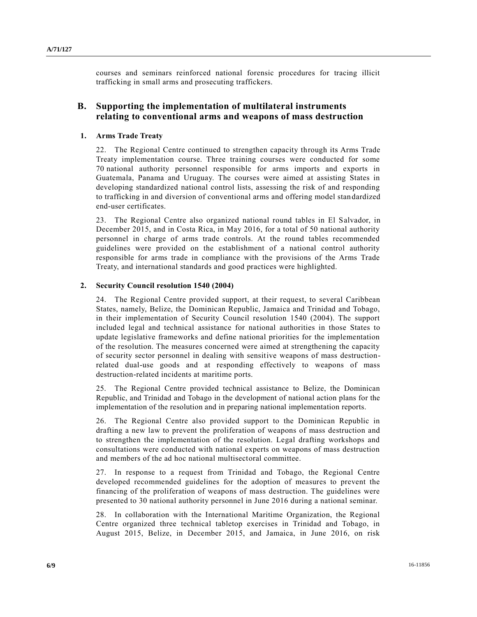courses and seminars reinforced national forensic procedures for tracing illicit trafficking in small arms and prosecuting traffickers.

### **B. Supporting the implementation of multilateral instruments relating to conventional arms and weapons of mass destruction**

### **1. Arms Trade Treaty**

22. The Regional Centre continued to strengthen capacity through its Arms Trade Treaty implementation course. Three training courses were conducted for some 70 national authority personnel responsible for arms imports and exports in Guatemala, Panama and Uruguay. The courses were aimed at assisting States in developing standardized national control lists, assessing the risk of and responding to trafficking in and diversion of conventional arms and offering model standardized end-user certificates.

23. The Regional Centre also organized national round tables in El Salvador, in December 2015, and in Costa Rica, in May 2016, for a total of 50 national authority personnel in charge of arms trade controls. At the round tables recommended guidelines were provided on the establishment of a national control authority responsible for arms trade in compliance with the provisions of the Arms Trade Treaty, and international standards and good practices were highlighted.

#### **2. Security Council resolution 1540 (2004)**

24. The Regional Centre provided support, at their request, to several Caribbean States, namely, Belize, the Dominican Republic, Jamaica and Trinidad and Tobago, in their implementation of Security Council resolution 1540 (2004). The support included legal and technical assistance for national authorities in those States to update legislative frameworks and define national priorities for the implementation of the resolution. The measures concerned were aimed at strengthening the capacity of security sector personnel in dealing with sensitive weapons of mass destructionrelated dual-use goods and at responding effectively to weapons of mass destruction-related incidents at maritime ports.

25. The Regional Centre provided technical assistance to Belize, the Dominican Republic, and Trinidad and Tobago in the development of national action plans for the implementation of the resolution and in preparing national implementation reports.

26. The Regional Centre also provided support to the Dominican Republic in drafting a new law to prevent the proliferation of weapons of mass destruction and to strengthen the implementation of the resolution. Legal drafting workshops and consultations were conducted with national experts on weapons of mass destruction and members of the ad hoc national multisectoral committee.

27. In response to a request from Trinidad and Tobago, the Regional Centre developed recommended guidelines for the adoption of measures to prevent the financing of the proliferation of weapons of mass destruction. The guidelines were presented to 30 national authority personnel in June 2016 during a national seminar.

28. In collaboration with the International Maritime Organization, the Regional Centre organized three technical tabletop exercises in Trinidad and Tobago, in August 2015, Belize, in December 2015, and Jamaica, in June 2016, on risk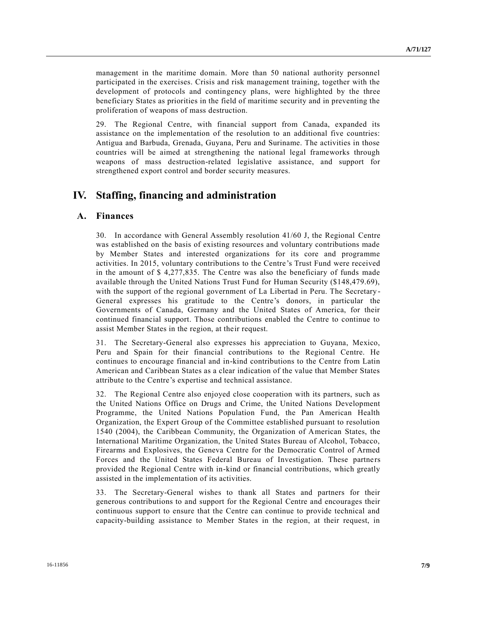management in the maritime domain. More than 50 national authority personnel participated in the exercises. Crisis and risk management training, together with the development of protocols and contingency plans, were highlighted by the three beneficiary States as priorities in the field of maritime security and in preventing the proliferation of weapons of mass destruction.

29. The Regional Centre, with financial support from Canada, expanded its assistance on the implementation of the resolution to an additional five countries: Antigua and Barbuda, Grenada, Guyana, Peru and Suriname. The activities in those countries will be aimed at strengthening the national legal frameworks through weapons of mass destruction-related legislative assistance, and support for strengthened export control and border security measures.

## **IV. Staffing, financing and administration**

### **A. Finances**

30. In accordance with General Assembly resolution 41/60 J, the Regional Centre was established on the basis of existing resources and voluntary contributions made by Member States and interested organizations for its core and programme activities. In 2015, voluntary contributions to the Centre's Trust Fund were received in the amount of \$ 4,277,835. The Centre was also the beneficiary of funds made available through the United Nations Trust Fund for Human Security (\$148,479.69), with the support of the regional government of La Libertad in Peru. The Secretary - General expresses his gratitude to the Centre's donors, in particular the Governments of Canada, Germany and the United States of America, for their continued financial support. Those contributions enabled the Centre to continue to assist Member States in the region, at their request.

31. The Secretary-General also expresses his appreciation to Guyana, Mexico, Peru and Spain for their financial contributions to the Regional Centre. He continues to encourage financial and in-kind contributions to the Centre from Latin American and Caribbean States as a clear indication of the value that Member States attribute to the Centre's expertise and technical assistance.

32. The Regional Centre also enjoyed close cooperation with its partners, such as the United Nations Office on Drugs and Crime, the United Nations Development Programme, the United Nations Population Fund, the Pan American Health Organization, the Expert Group of the Committee established pursuant to resolution 1540 (2004), the Caribbean Community, the Organization of American States, the International Maritime Organization, the United States Bureau of Alcohol, Tobacco, Firearms and Explosives, the Geneva Centre for the Democratic Control of Armed Forces and the United States Federal Bureau of Investigation. These partners provided the Regional Centre with in-kind or financial contributions, which greatly assisted in the implementation of its activities.

33. The Secretary-General wishes to thank all States and partners for their generous contributions to and support for the Regional Centre and encourages their continuous support to ensure that the Centre can continue to provide technical and capacity-building assistance to Member States in the region, at their request, in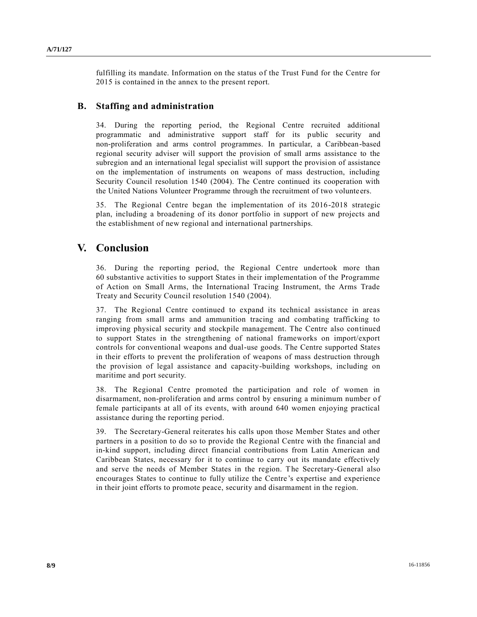fulfilling its mandate. Information on the status of the Trust Fund for the Centre for 2015 is contained in the annex to the present report.

### **B. Staffing and administration**

34. During the reporting period, the Regional Centre recruited additional programmatic and administrative support staff for its public security and non-proliferation and arms control programmes. In particular, a Caribbean-based regional security adviser will support the provision of small arms assistance to the subregion and an international legal specialist will support the provision of assistance on the implementation of instruments on weapons of mass destruction, including Security Council resolution 1540 (2004). The Centre continued its cooperation with the United Nations Volunteer Programme through the recruitment of two volunte ers.

35. The Regional Centre began the implementation of its 2016-2018 strategic plan, including a broadening of its donor portfolio in support of new projects and the establishment of new regional and international partnerships.

## **V. Conclusion**

36. During the reporting period, the Regional Centre undertook more than 60 substantive activities to support States in their implementation of the Programme of Action on Small Arms, the International Tracing Instrument, the Arms Trade Treaty and Security Council resolution 1540 (2004).

37. The Regional Centre continued to expand its technical assistance in areas ranging from small arms and ammunition tracing and combating trafficking to improving physical security and stockpile management. The Centre also continued to support States in the strengthening of national frameworks on import/export controls for conventional weapons and dual-use goods. The Centre supported States in their efforts to prevent the proliferation of weapons of mass destruction through the provision of legal assistance and capacity-building workshops, including on maritime and port security.

38. The Regional Centre promoted the participation and role of women in disarmament, non-proliferation and arms control by ensuring a minimum number of female participants at all of its events, with around 640 women enjoying practical assistance during the reporting period.

39. The Secretary-General reiterates his calls upon those Member States and other partners in a position to do so to provide the Regional Centre with the financial and in-kind support, including direct financial contributions from Latin American and Caribbean States, necessary for it to continue to carry out its mandate effectively and serve the needs of Member States in the region. The Secretary-General also encourages States to continue to fully utilize the Centre's expertise and experience in their joint efforts to promote peace, security and disarmament in the region.